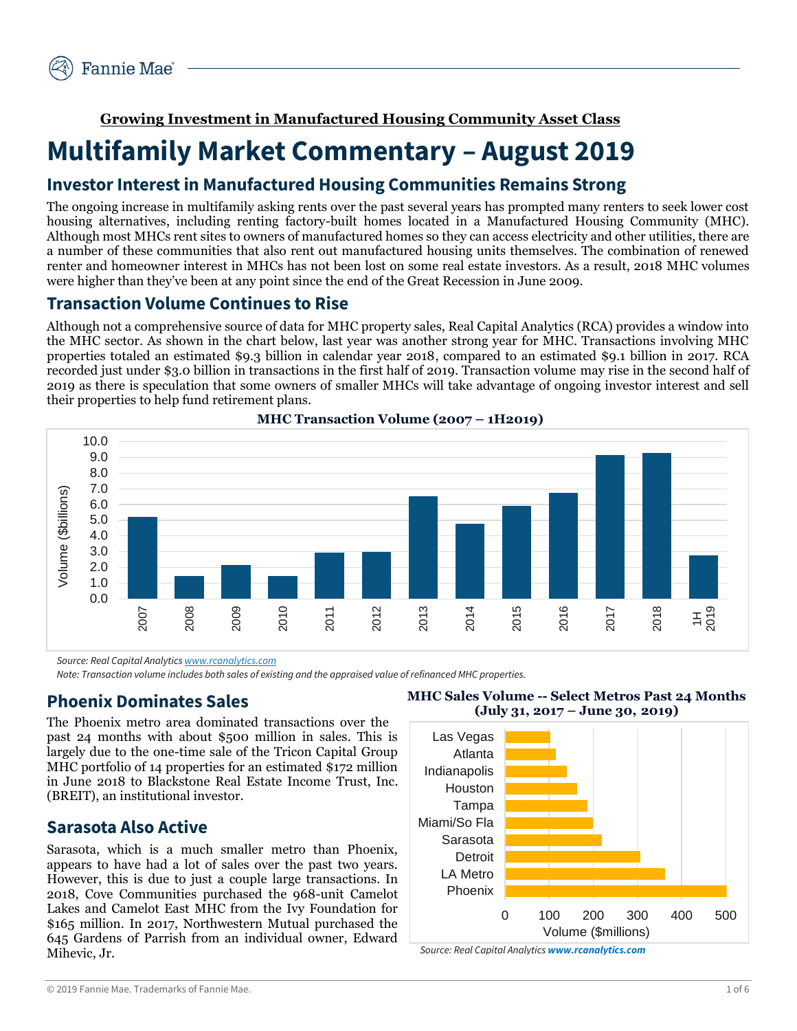**Growing Investment in Manufactured Housing Community Asset Class**

# **Multifamily Market Commentary – August 2019**

# **Investor Interest in Manufactured Housing Communities Remains Strong**

The ongoing increase in multifamily asking rents over the past several years has prompted many renters to seek lower cost housing alternatives, including renting factory-built homes located in a Manufactured Housing Community (MHC). Although most MHCs rent sites to owners of manufactured homes so they can access electricity and other utilities, there are a number of these communities that also rent out manufactured housing units themselves. The combination of renewed renter and homeowner interest in MHCs has not been lost on some real estate investors. As a result, 2018 MHC volumes were higher than they've been at any point since the end of the Great Recession in June 2009.

### **Transaction Volume Continues to Rise**

Although not a comprehensive source of data for MHC property sales, Real Capital Analytics (RCA) provides a window into the MHC sector. As shown in the chart below, last year was another strong year for MHC. Transactions involving MHC properties totaled an estimated \$9.3 billion in calendar year 2018, compared to an estimated \$9.1 billion in 2017. RCA recorded just under \$3.0 billion in transactions in the first half of 2019. Transaction volume may rise in the second half of 2019 as there is speculation that some owners of smaller MHCs will take advantage of ongoing investor interest and sell their properties to help fund retirement plans.



**MHC Transaction Volume (2007 – 1H2019)**

*Source: Real Capital Analytic[s www.rcanalytics.com](http://www.rcanalytics.com/)*

*Note: Transaction volume includes both sales of existing and the appraised value of refinanced MHC properties.*

### **Phoenix Dominates Sales**

The Phoenix metro area dominated transactions over the past 24 months with about \$500 million in sales. This is largely due to the one-time sale of the Tricon Capital Group MHC portfolio of 14 properties for an estimated \$172 million in June 2018 to Blackstone Real Estate Income Trust, Inc. (BREIT), an institutional investor.

### **Sarasota Also Active**

Sarasota, which is a much smaller metro than Phoenix, appears to have had a lot of sales over the past two years. However, this is due to just a couple large transactions. In 2018, Cove Communities purchased the 968-unit Camelot Lakes and Camelot East MHC from the Ivy Foundation for \$165 million. In 2017, Northwestern Mutual purchased the 645 Gardens of Parrish from an individual owner, Edward Mihevic, Jr.



**MHC Sales Volume -- Select Metros Past 24 Months**

*Source: Real Capital Analytics [www.rcanalytics.com](http://www.rcanalytics.com/)*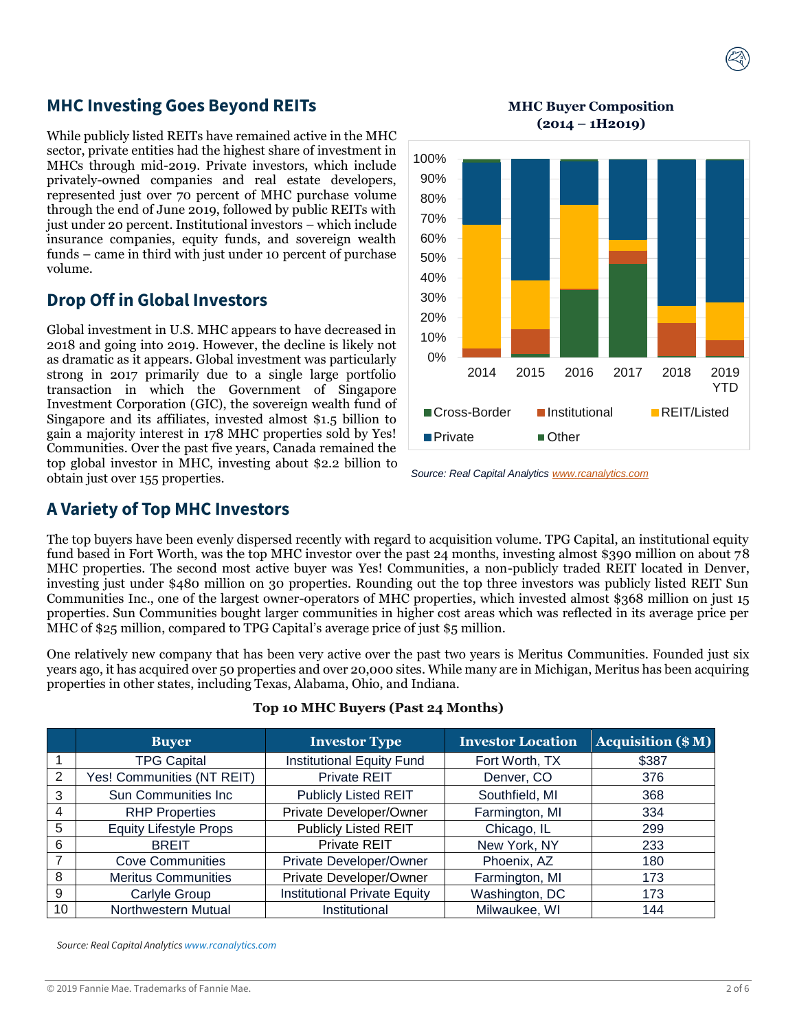### **MHC Investing Goes Beyond REITs**

While publicly listed REITs have remained active in the MHC sector, private entities had the highest share of investment in MHCs through mid-2019. Private investors, which include privately-owned companies and real estate developers, represented just over 70 percent of MHC purchase volume through the end of June 2019, followed by public REITs with just under 20 percent. Institutional investors – which include insurance companies, equity funds, and sovereign wealth funds – came in third with just under 10 percent of purchase volume.

### **Drop Off in Global Investors**

Global investment in U.S. MHC appears to have decreased in 2018 and going into 2019. However, the decline is likely not as dramatic as it appears. Global investment was particularly strong in 2017 primarily due to a single large portfolio transaction in which the Government of Singapore Investment Corporation (GIC), the sovereign wealth fund of Singapore and its affiliates, invested almost \$1.5 billion to gain a majority interest in 178 MHC properties sold by Yes! Communities. Over the past five years, Canada remained the top global investor in MHC, investing about \$2.2 billion to obtain just over 155 properties.

**MHC Buyer Composition (2014 – 1H2019)**



*Source: Real Capital Analytics [www.rcanalytics.com](http://www.rcanalytics.com/)*

### **A Variety of Top MHC Investors**

The top buyers have been evenly dispersed recently with regard to acquisition volume. TPG Capital, an institutional equity fund based in Fort Worth, was the top MHC investor over the past 24 months, investing almost \$390 million on about 78 MHC properties. The second most active buyer was Yes! Communities, a non-publicly traded REIT located in Denver, investing just under \$480 million on 30 properties. Rounding out the top three investors was publicly listed REIT Sun Communities Inc., one of the largest owner-operators of MHC properties, which invested almost \$368 million on just 15 properties. Sun Communities bought larger communities in higher cost areas which was reflected in its average price per MHC of \$25 million, compared to TPG Capital's average price of just \$5 million.

One relatively new company that has been very active over the past two years is Meritus Communities. Founded just six years ago, it has acquired over 50 properties and over 20,000 sites. While many are in Michigan, Meritus has been acquiring properties in other states, including Texas, Alabama, Ohio, and Indiana.

|                | <b>Buyer</b>                  | <b>Investor Type</b>                | <b>Investor Location</b> | <b>Acquisition (\$M)</b> |  |
|----------------|-------------------------------|-------------------------------------|--------------------------|--------------------------|--|
|                | <b>TPG Capital</b>            | <b>Institutional Equity Fund</b>    | Fort Worth, TX           | \$387                    |  |
| 2              | Yes! Communities (NT REIT)    | Private REIT                        | Denver, CO               | 376                      |  |
| 3              | <b>Sun Communities Inc.</b>   | <b>Publicly Listed REIT</b>         | Southfield, MI           | 368                      |  |
| $\overline{4}$ | <b>RHP Properties</b>         | Private Developer/Owner             | Farmington, MI           | 334                      |  |
| 5              | <b>Equity Lifestyle Props</b> | <b>Publicly Listed REIT</b>         | Chicago, IL              | 299                      |  |
| 6              | <b>BREIT</b>                  | Private REIT                        | New York, NY             | 233                      |  |
| $\overline{7}$ | <b>Cove Communities</b>       | Private Developer/Owner             | Phoenix, AZ              | 180                      |  |
| 8              | <b>Meritus Communities</b>    | Private Developer/Owner             | Farmington, MI           | 173                      |  |
| 9              | Carlyle Group                 | <b>Institutional Private Equity</b> | Washington, DC           | 173                      |  |
| 10             | Northwestern Mutual           | Institutional                       | Milwaukee, WI            | 144                      |  |

#### **Top 10 MHC Buyers (Past 24 Months)**

*Source: Real Capital Analytics www.rcanalytics.com*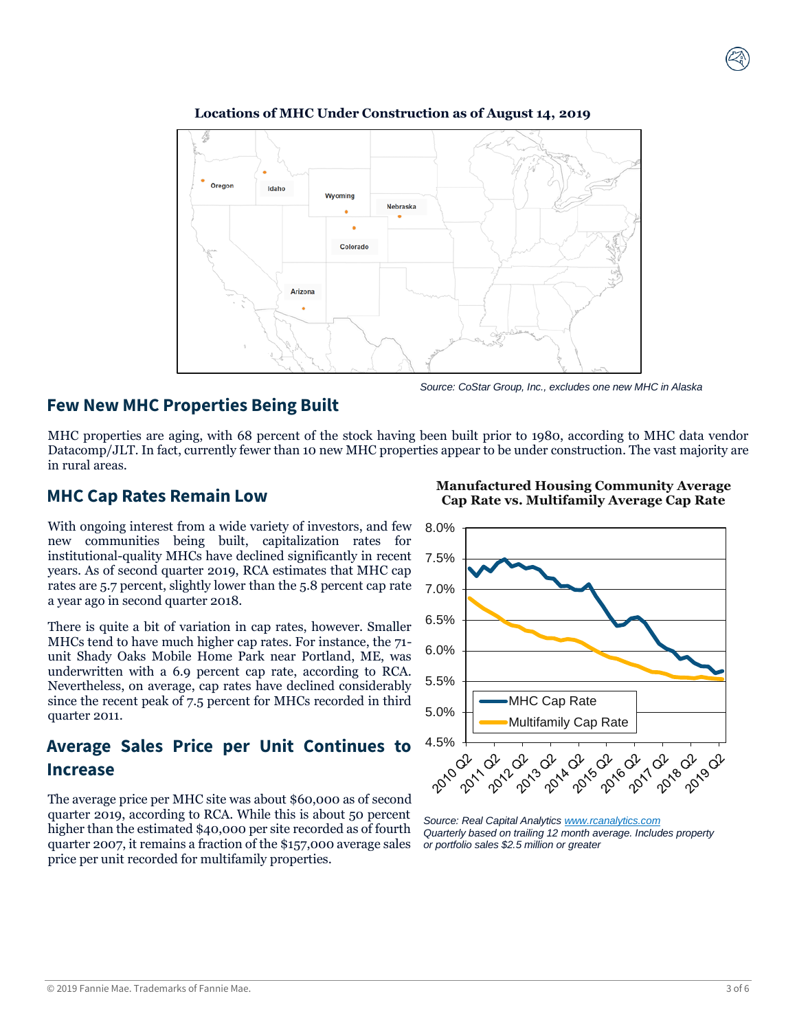

**Locations of MHC Under Construction as of August 14, 2019**

# **Few New MHC Properties Being Built**

MHC properties are aging, with 68 percent of the stock having been built prior to 1980, according to MHC data vendor Datacomp/JLT. In fact, currently fewer than 10 new MHC properties appear to be under construction. The vast majority are in rural areas.

## **MHC Cap Rates Remain Low**

With ongoing interest from a wide variety of investors, and few new communities being built, capitalization rates for institutional-quality MHCs have declined significantly in recent years. As of second quarter 2019, RCA estimates that MHC cap rates are 5.7 percent, slightly lower than the 5.8 percent cap rate a year ago in second quarter 2018.

There is quite a bit of variation in cap rates, however. Smaller MHCs tend to have much higher cap rates. For instance, the 71 unit Shady Oaks Mobile Home Park near Portland, ME, was underwritten with a 6.9 percent cap rate, according to RCA. Nevertheless, on average, cap rates have declined considerably since the recent peak of 7.5 percent for MHCs recorded in third quarter 2011.

# **Average Sales Price per Unit Continues to Increase**

The average price per MHC site was about \$60,000 as of second quarter 2019, according to RCA. While this is about 50 percent higher than the estimated \$40,000 per site recorded as of fourth quarter 2007, it remains a fraction of the \$157,000 average sales price per unit recorded for multifamily properties.

8.0% 7.5% 7.0% 6.5% 6.0% 5.5% MHC Cap Rate 5.0% Multifamily Cap Rate 4.5% 100 2018-02-02 2012-02-02 **02-02-2014** 201902 2014-02- $\mathcal{Q}^{\prime}$  $\mathcal{Q}^2$  $\hat{d}^{\nu}$ **OLITO Pulp** 

*Source: Real Capital Analytics [www.rcanalytics.com](http://www.rcanalytics.com/) Quarterly based on trailing 12 month average. Includes property or portfolio sales \$2.5 million or greater*



*Source: CoStar Group, Inc., excludes one new MHC in Alaska*

**Manufactured Housing Community Average Cap Rate vs. Multifamily Average Cap Rate**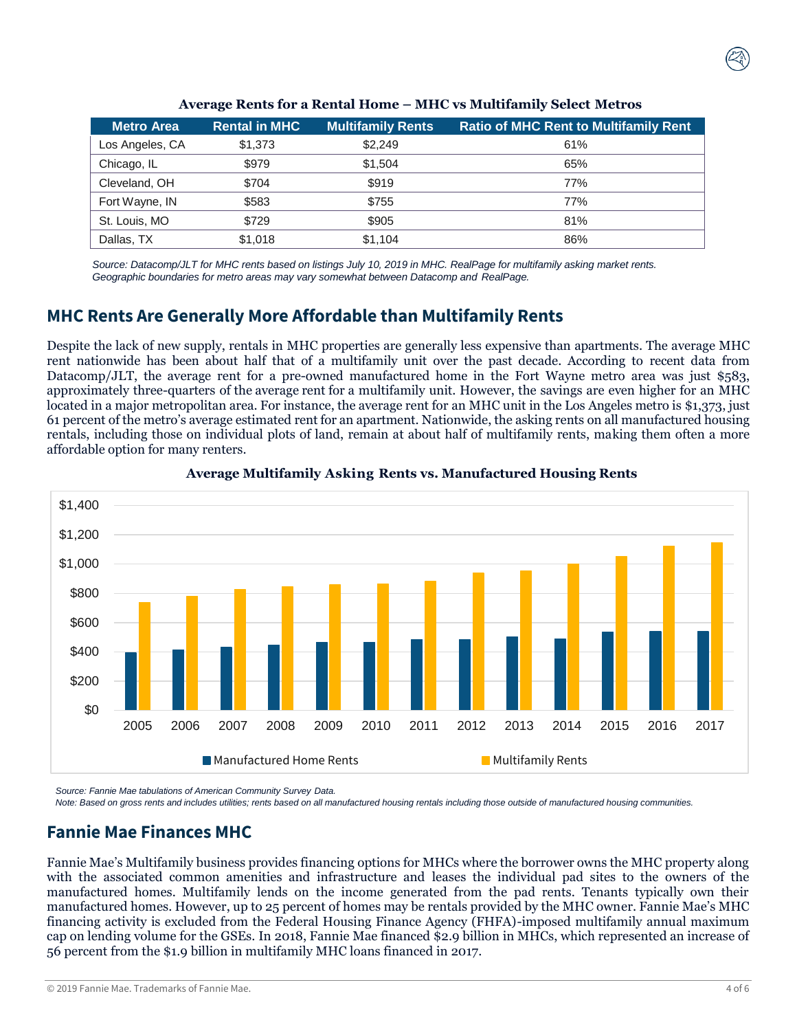| <b>Metro Area</b> | <b>Rental in MHC</b> | <b>Multifamily Rents</b> | <b>Ratio of MHC Rent to Multifamily Rent</b> |
|-------------------|----------------------|--------------------------|----------------------------------------------|
| Los Angeles, CA   | \$1,373              | \$2,249                  | 61%                                          |
| Chicago, IL       | \$979                | \$1.504                  | 65%                                          |
| Cleveland, OH     | \$704                | \$919                    | 77%                                          |
| Fort Wayne, IN    | \$583                | \$755                    | 77%                                          |
| St. Louis, MO     | \$729                | \$905                    | 81%                                          |
| Dallas, TX        | \$1,018              | \$1,104                  | 86%                                          |

**Average Rents for a Rental Home – MHC vs Multifamily Select Metros**

*Source: Datacomp/JLT for MHC rents based on listings July 10, 2019 in MHC. RealPage for multifamily asking market rents. Geographic boundaries for metro areas may vary somewhat between Datacomp and RealPage.*

# **MHC Rents Are Generally More Affordable than Multifamily Rents**

Despite the lack of new supply, rentals in MHC properties are generally less expensive than apartments. The average MHC rent nationwide has been about half that of a multifamily unit over the past decade. According to recent data from Datacomp/JLT, the average rent for a pre-owned manufactured home in the Fort Wayne metro area was just \$583, approximately three-quarters of the average rent for a multifamily unit. However, the savings are even higher for an MHC located in a major metropolitan area. For instance, the average rent for an MHC unit in the Los Angeles metro is \$1,373, just 61 percent of the metro's average estimated rent for an apartment. Nationwide, the asking rents on all manufactured housing rentals, including those on individual plots of land, remain at about half of multifamily rents, making them often a more affordable option for many renters.





*Source: Fannie Mae tabulations of American Community Survey Data.*

*Note: Based on gross rents and includes utilities; rents based on all manufactured housing rentals including those outside of manufactured housing communities.*

# **Fannie Mae Finances MHC**

Fannie Mae's Multifamily business provides financing options for MHCs where the borrower owns the MHC property along with the associated common amenities and infrastructure and leases the individual pad sites to the owners of the manufactured homes. Multifamily lends on the income generated from the pad rents. Tenants typically own their manufactured homes. However, up to 25 percent of homes may be rentals provided by the MHC owner. Fannie Mae's MHC financing activity is excluded from the Federal Housing Finance Agency (FHFA)-imposed multifamily annual maximum cap on lending volume for the GSEs. In 2018, Fannie Mae financed \$2.9 billion in MHCs, which represented an increase of 56 percent from the \$1.9 billion in multifamily MHC loans financed in 2017.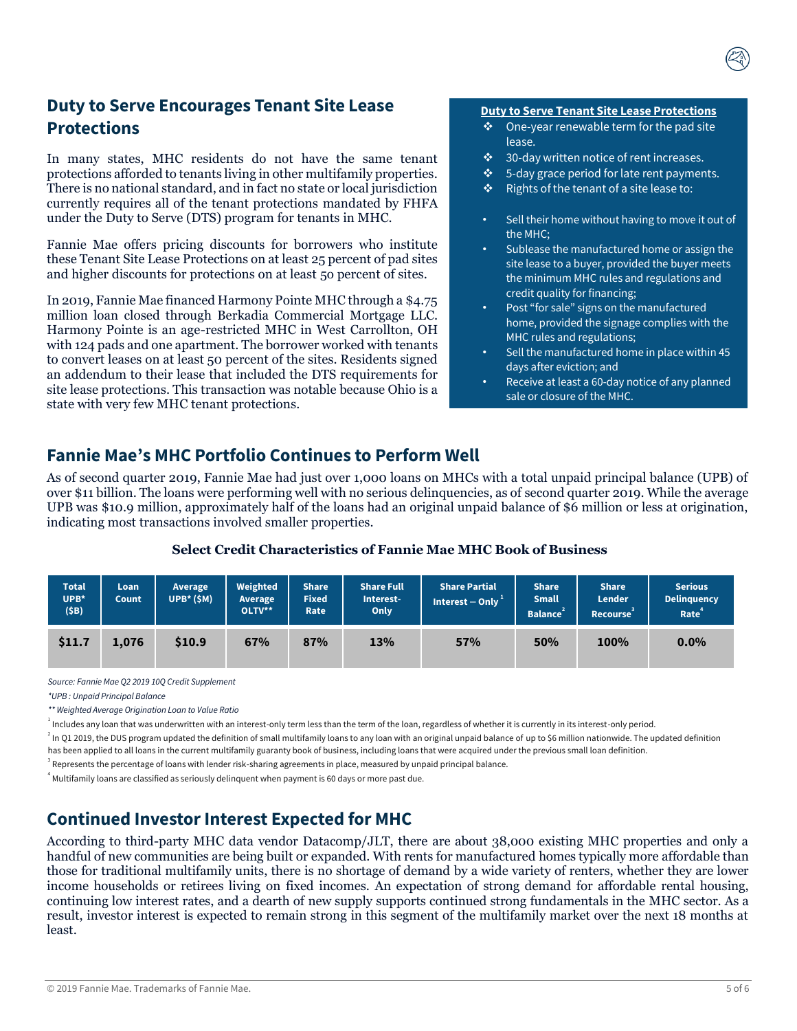# **Duty to Serve Encourages Tenant Site Lease Protections**

In many states, MHC residents do not have the same tenant protections afforded to tenants living in other multifamily properties. There is no national standard, and in fact no state or local jurisdiction currently requires all of the tenant protections mandated by FHFA under the Duty to Serve (DTS) program for tenants in MHC.

Fannie Mae offers pricing discounts for borrowers who institute these Tenant Site Lease Protections on at least 25 percent of pad sites and higher discounts for protections on at least 5o percent of sites.

In 2019, Fannie Mae financed Harmony Pointe MHC through a \$4.75 million loan closed through Berkadia Commercial Mortgage LLC. Harmony Pointe is an age-restricted MHC in West Carrollton, OH with 124 pads and one apartment. The borrower worked with tenants to convert leases on at least 50 percent of the sites. Residents signed an addendum to their lease that included the DTS requirements for site lease protections. This transaction was notable because Ohio is a state with very few MHC tenant protections.

#### **Duty to Serve Tenant Site Lease Protections**

- ❖ One-year renewable term for the pad site lease.
- ❖ 30-day written notice of rent increases.
- ❖ 5-day grace period for late rent payments.
- ❖ Rights of the tenant of a site lease to:
- Sell their home without having to move it out of the MHC;
- Sublease the manufactured home or assign the site lease to a buyer, provided the buyer meets the minimum MHC rules and regulations and credit quality for financing;
- Post "for sale" signs on the manufactured home, provided the signage complies with the MHC rules and regulations;
- Sell the manufactured home in place within 45 days after eviction; and
- Receive at least a 60-day notice of any planned sale or closure of the MHC.

## **Fannie Mae's MHC Portfolio Continues to Perform Well**

As of second quarter 2019, Fannie Mae had just over 1,000 loans on MHCs with a total unpaid principal balance (UPB) of over \$11 billion. The loans were performing well with no serious delinquencies, as of second quarter 2019. While the average UPB was \$10.9 million, approximately half of the loans had an original unpaid balance of \$6 million or less at origination, indicating most transactions involved smaller properties.

#### **Select Credit Characteristics of Fannie Mae MHC Book of Business**

| <b>Total</b><br>UPB*<br>(5B) | Loan<br>Count | Average<br>$UPB*(SM)$ | Weighted<br>Average<br>OLTV** | <b>Share</b><br><b>Fixed</b><br>Rate | <b>Share Full</b><br>Interest-<br><b>Only</b> | <b>Share Partial</b><br>Interest - Only | <b>Share</b><br><b>Small</b><br><b>Balance</b> | <b>Share</b><br><b>Lender</b><br><b>Recourse</b> | <b>Serious</b><br><b>Delinquency</b><br>Rate <sup>4</sup> |
|------------------------------|---------------|-----------------------|-------------------------------|--------------------------------------|-----------------------------------------------|-----------------------------------------|------------------------------------------------|--------------------------------------------------|-----------------------------------------------------------|
| \$11.7                       | 1.076         | \$10.9                | 67%                           | 87%                                  | 13%                                           | 57%                                     | 50%                                            | 100%                                             | $0.0\%$                                                   |

*Source: Fannie Mae Q2 2019 10Q Credit Supplement*

*\*UPB : Unpaid Principal Balance*

*\*\* Weighted Average Origination Loan to Value Ratio*

1 Includes any loan that was underwritten with an interest-only term less than the term of the loan, regardless of whether it is currently in its interest-only period.

 $^2$  In Q1 2019, the DUS program updated the definition of small multifamily loans to any loan with an original unpaid balance of up to \$6 million nationwide. The updated definition has been applied to all loans in the current multifamily guaranty book of business, including loans that were acquired under the previous small loan definition.

<sup>3</sup> Represents the percentage of loans with lender risk-sharing agreements in place, measured by unpaid principal balance.

 $^4$  Multifamily loans are classified as seriously delinquent when payment is 60 days or more past due.

# **Continued Investor Interest Expected for MHC**

According to third-party MHC data vendor Datacomp/JLT, there are about 38,000 existing MHC properties and only a handful of new communities are being built or expanded. With rents for manufactured homes typically more affordable than those for traditional multifamily units, there is no shortage of demand by a wide variety of renters, whether they are lower income households or retirees living on fixed incomes. An expectation of strong demand for affordable rental housing, continuing low interest rates, and a dearth of new supply supports continued strong fundamentals in the MHC sector. As a result, investor interest is expected to remain strong in this segment of the multifamily market over the next 18 months at least.